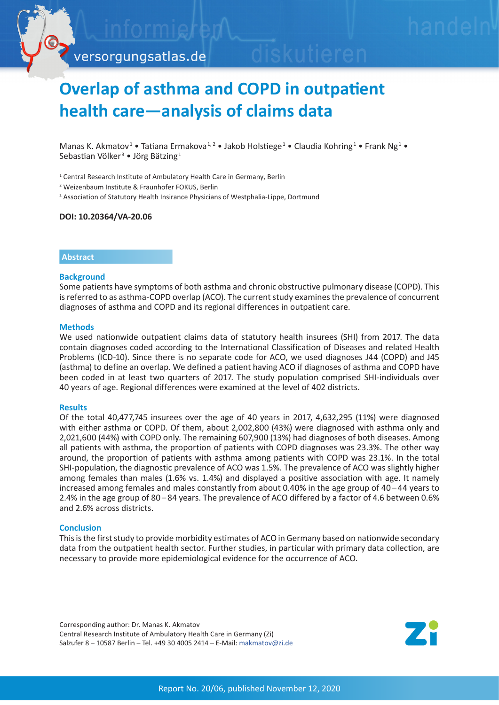

# **Overlap of asthma and COPD in outpatient health care—analysis of claims data**

Manas K. Akmatov<sup>1</sup> • Tatiana Ermakova<sup>1,2</sup> • Jakob Holstiege<sup>1</sup> • Claudia Kohring<sup>1</sup> • Frank Ng<sup>1</sup> • Sebastian Völker<sup>3</sup> • Jörg Bätzing<sup>1</sup>

<sup>1</sup> Central Research Institute of Ambulatory Health Care in Germany, Berlin

2 Weizenbaum Institute & Fraunhofer FOKUS, Berlin

<sup>3</sup> Association of Statutory Health Insirance Physicians of Westphalia-Lippe, Dortmund

#### **DOI: 10.20364/VA-20.06**

#### **Abstract**

#### **Background**

Some patients have symptoms of both asthma and chronic obstructive pulmonary disease (COPD). This is referred to as asthma-COPD overlap (ACO). The current study examines the prevalence of concurrent diagnoses of asthma and COPD and its regional differences in outpatient care.

#### **Methods**

We used nationwide outpatient claims data of statutory health insurees (SHI) from 2017. The data contain diagnoses coded according to the International Classification of Diseases and related Health Problems (ICD-10). Since there is no separate code for ACO, we used diagnoses J44 (COPD) and J45 (asthma) to define an overlap. We defined a patient having ACO if diagnoses of asthma and COPD have been coded in at least two quarters of 2017. The study population comprised SHI-individuals over 40 years of age. Regional differences were examined at the level of 402 districts.

#### **Results**

Of the total 40,477,745 insurees over the age of 40 years in 2017, 4,632,295 (11%) were diagnosed with either asthma or COPD. Of them, about 2,002,800 (43%) were diagnosed with asthma only and 2,021,600 (44%) with COPD only. The remaining 607,900 (13%) had diagnoses of both diseases. Among all patients with asthma, the proportion of patients with COPD diagnoses was 23.3%. The other way around, the proportion of patients with asthma among patients with COPD was 23.1%. In the total SHI-population, the diagnostic prevalence of ACO was 1.5%. The prevalence of ACO was slightly higher among females than males (1.6% vs. 1.4%) and displayed a positive association with age. It namely increased among females and males constantly from about 0.40% in the age group of 40–44 years to 2.4% in the age group of 80 – 84 years. The prevalence of ACO differed by a factor of 4.6 between 0.6% and 2.6% across districts.

### **Conclusion**

This is the first study to provide morbidity estimates of ACO in Germany based on nationwide secondary data from the outpatient health sector. Further studies, in particular with primary data collection, are necessary to provide more epidemiological evidence for the occurrence of ACO.

Corresponding author: Dr. Manas K. Akmatov Central Research Institute of Ambulatory Health Care in Germany (Zi) Salzufer 8 – 10587 Berlin – Tel. +49 30 4005 2414 – E-Mail: makmato[v@zi.de](mailto:makmatov%40zi.de?subject=VA-Bericht%2020/06%20ACO)